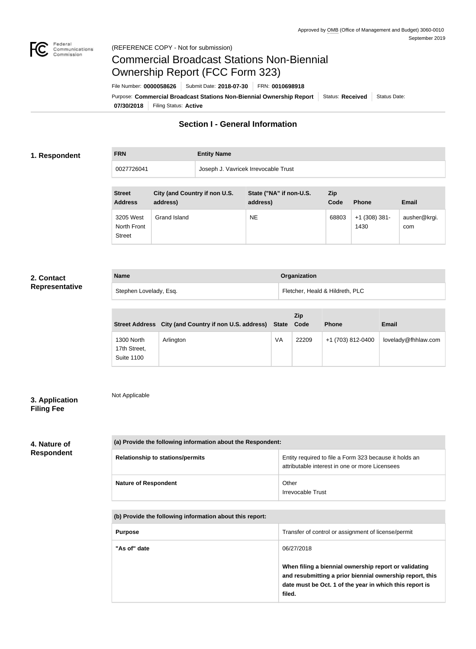

# Commercial Broadcast Stations Non-Biennial Ownership Report (FCC Form 323)

**07/30/2018** Filing Status: **Active** Purpose: Commercial Broadcast Stations Non-Biennial Ownership Report Status: Received Status Date: File Number: **0000058626** Submit Date: **2018-07-30** FRN: **0010698918**

# **Section I - General Information**

# **1. Respondent**

**FRN Entity Name**

0027726041 Joseph J. Vavricek Irrevocable Trust

| <b>Street</b><br><b>Address</b>           | City (and Country if non U.S.<br>address) | State ("NA" if non-U.S.<br>address) | <b>Zip</b><br>Code | <b>Phone</b>            | <b>Email</b>        |
|-------------------------------------------|-------------------------------------------|-------------------------------------|--------------------|-------------------------|---------------------|
| 3205 West<br>North Front<br><b>Street</b> | Grand Island                              | <b>NE</b>                           | 68803              | $+1$ (308) 381-<br>1430 | ausher@krgi.<br>com |

# **2. Contact Representative**

| <b>Name</b>            | Organization                    |
|------------------------|---------------------------------|
| Stephen Lovelady, Esq. | Fletcher, Heald & Hildreth, PLC |

|                                                 | Street Address City (and Country if non U.S. address) State |    | <b>Zip</b><br>Code | <b>Phone</b>      | <b>Email</b>        |
|-------------------------------------------------|-------------------------------------------------------------|----|--------------------|-------------------|---------------------|
| 1300 North<br>17th Street,<br><b>Suite 1100</b> | Arlington                                                   | VA | 22209              | +1 (703) 812-0400 | lovelady@fhhlaw.com |

# **3. Application Filing Fee**

Not Applicable

**4. Nature of Respondent**

| (a) Provide the following information about the Respondent: |                                                                                                          |  |  |
|-------------------------------------------------------------|----------------------------------------------------------------------------------------------------------|--|--|
| <b>Relationship to stations/permits</b>                     | Entity required to file a Form 323 because it holds an<br>attributable interest in one or more Licensees |  |  |
| <b>Nature of Respondent</b>                                 | Other<br>Irrevocable Trust                                                                               |  |  |

**(b) Provide the following information about this report:**

| <b>Purpose</b> | Transfer of control or assignment of license/permit                                                                                                                                    |
|----------------|----------------------------------------------------------------------------------------------------------------------------------------------------------------------------------------|
| "As of" date   | 06/27/2018                                                                                                                                                                             |
|                | When filing a biennial ownership report or validating<br>and resubmitting a prior biennial ownership report, this<br>date must be Oct. 1 of the year in which this report is<br>filed. |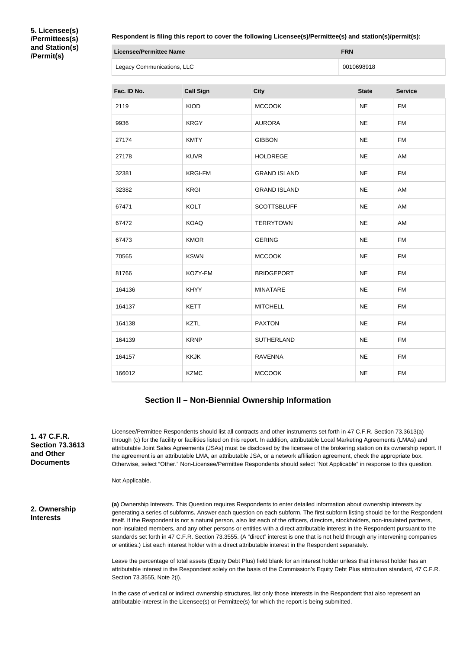**5. Licensee(s) /Permittees(s) and Station(s) /Permit(s)**

#### **Respondent is filing this report to cover the following Licensee(s)/Permittee(s) and station(s)/permit(s):**

| <b>Licensee/Permittee Name</b> | <b>FRN</b> |
|--------------------------------|------------|
| Legacy Communications, LLC     | 0010698918 |

| Fac. ID No. | <b>Call Sign</b> | <b>City</b>         | <b>State</b> | <b>Service</b> |
|-------------|------------------|---------------------|--------------|----------------|
| 2119        | <b>KIOD</b>      | <b>MCCOOK</b>       | <b>NE</b>    | <b>FM</b>      |
| 9936        | <b>KRGY</b>      | <b>AURORA</b>       | <b>NE</b>    | <b>FM</b>      |
| 27174       | <b>KMTY</b>      | <b>GIBBON</b>       | <b>NE</b>    | <b>FM</b>      |
| 27178       | <b>KUVR</b>      | <b>HOLDREGE</b>     | <b>NE</b>    | AM             |
| 32381       | <b>KRGI-FM</b>   | <b>GRAND ISLAND</b> | <b>NE</b>    | <b>FM</b>      |
| 32382       | KRGI             | <b>GRAND ISLAND</b> | <b>NE</b>    | AM             |
| 67471       | <b>KOLT</b>      | <b>SCOTTSBLUFF</b>  | <b>NE</b>    | AM             |
| 67472       | <b>KOAQ</b>      | <b>TERRYTOWN</b>    | <b>NE</b>    | AM             |
| 67473       | <b>KMOR</b>      | <b>GERING</b>       | <b>NE</b>    | <b>FM</b>      |
| 70565       | <b>KSWN</b>      | <b>MCCOOK</b>       | <b>NE</b>    | <b>FM</b>      |
| 81766       | KOZY-FM          | <b>BRIDGEPORT</b>   | <b>NE</b>    | <b>FM</b>      |
| 164136      | <b>KHYY</b>      | <b>MINATARE</b>     | <b>NE</b>    | <b>FM</b>      |
| 164137      | <b>KETT</b>      | <b>MITCHELL</b>     | <b>NE</b>    | <b>FM</b>      |
| 164138      | <b>KZTL</b>      | <b>PAXTON</b>       | <b>NE</b>    | <b>FM</b>      |
| 164139      | <b>KRNP</b>      | <b>SUTHERLAND</b>   | <b>NE</b>    | <b>FM</b>      |
| 164157      | <b>KKJK</b>      | <b>RAVENNA</b>      | <b>NE</b>    | <b>FM</b>      |
| 166012      | <b>KZMC</b>      | <b>MCCOOK</b>       | <b>NE</b>    | <b>FM</b>      |

# **Section II – Non-Biennial Ownership Information**

or entities.) List each interest holder with a direct attributable interest in the Respondent separately.

**1. 47 C.F.R. Section 73.3613 and Other Documents**

Licensee/Permittee Respondents should list all contracts and other instruments set forth in 47 C.F.R. Section 73.3613(a) through (c) for the facility or facilities listed on this report. In addition, attributable Local Marketing Agreements (LMAs) and attributable Joint Sales Agreements (JSAs) must be disclosed by the licensee of the brokering station on its ownership report. If the agreement is an attributable LMA, an attributable JSA, or a network affiliation agreement, check the appropriate box. Otherwise, select "Other." Non-Licensee/Permittee Respondents should select "Not Applicable" in response to this question.

Not Applicable.

**2. Ownership Interests**

**(a)** Ownership Interests. This Question requires Respondents to enter detailed information about ownership interests by generating a series of subforms. Answer each question on each subform. The first subform listing should be for the Respondent itself. If the Respondent is not a natural person, also list each of the officers, directors, stockholders, non-insulated partners, non-insulated members, and any other persons or entities with a direct attributable interest in the Respondent pursuant to the standards set forth in 47 C.F.R. Section 73.3555. (A "direct" interest is one that is not held through any intervening companies

Leave the percentage of total assets (Equity Debt Plus) field blank for an interest holder unless that interest holder has an attributable interest in the Respondent solely on the basis of the Commission's Equity Debt Plus attribution standard, 47 C.F.R. Section 73.3555, Note 2(i).

In the case of vertical or indirect ownership structures, list only those interests in the Respondent that also represent an attributable interest in the Licensee(s) or Permittee(s) for which the report is being submitted.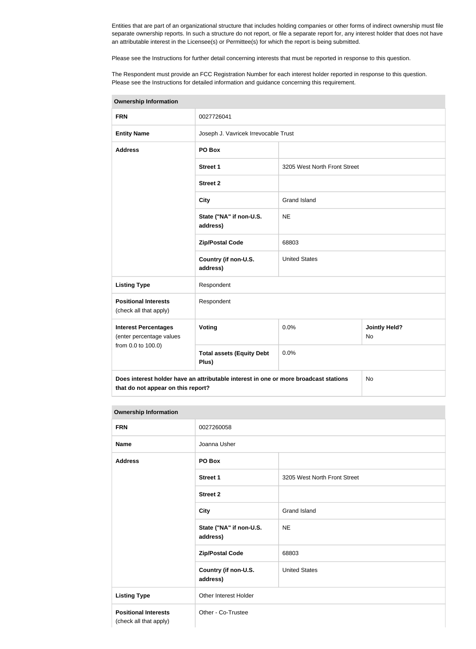Entities that are part of an organizational structure that includes holding companies or other forms of indirect ownership must file separate ownership reports. In such a structure do not report, or file a separate report for, any interest holder that does not have an attributable interest in the Licensee(s) or Permittee(s) for which the report is being submitted.

Please see the Instructions for further detail concerning interests that must be reported in response to this question.

The Respondent must provide an FCC Registration Number for each interest holder reported in response to this question. Please see the Instructions for detailed information and guidance concerning this requirement.

| <b>Ownership Information</b>                            |                                                                                      |                                    |     |  |  |
|---------------------------------------------------------|--------------------------------------------------------------------------------------|------------------------------------|-----|--|--|
| <b>FRN</b>                                              | 0027726041                                                                           |                                    |     |  |  |
| <b>Entity Name</b>                                      | Joseph J. Vavricek Irrevocable Trust                                                 |                                    |     |  |  |
| <b>Address</b>                                          | PO Box                                                                               |                                    |     |  |  |
|                                                         | <b>Street 1</b>                                                                      | 3205 West North Front Street       |     |  |  |
|                                                         | <b>Street 2</b>                                                                      |                                    |     |  |  |
|                                                         | <b>City</b>                                                                          | <b>Grand Island</b>                |     |  |  |
|                                                         | State ("NA" if non-U.S.<br>address)                                                  | <b>NE</b>                          |     |  |  |
|                                                         | <b>Zip/Postal Code</b>                                                               | 68803                              |     |  |  |
|                                                         | Country (if non-U.S.<br>address)                                                     | <b>United States</b>               |     |  |  |
| <b>Listing Type</b>                                     | Respondent                                                                           |                                    |     |  |  |
| <b>Positional Interests</b><br>(check all that apply)   | Respondent                                                                           |                                    |     |  |  |
| <b>Interest Percentages</b><br>(enter percentage values | <b>Voting</b>                                                                        | <b>Jointly Held?</b><br>0.0%<br>No |     |  |  |
| from 0.0 to 100.0)                                      | <b>Total assets (Equity Debt</b><br>Plus)                                            | 0.0%                               |     |  |  |
| that do not appear on this report?                      | Does interest holder have an attributable interest in one or more broadcast stations |                                    | No. |  |  |

#### **Ownership Information**

| and the state of the state of the state of the state of the state of the state of the state of the state of the |                                     |                              |  |
|-----------------------------------------------------------------------------------------------------------------|-------------------------------------|------------------------------|--|
| <b>FRN</b>                                                                                                      | 0027260058                          |                              |  |
| <b>Name</b>                                                                                                     | Joanna Usher                        |                              |  |
| <b>Address</b>                                                                                                  | PO Box                              |                              |  |
|                                                                                                                 | <b>Street 1</b>                     | 3205 West North Front Street |  |
|                                                                                                                 | <b>Street 2</b>                     |                              |  |
|                                                                                                                 | <b>City</b>                         | <b>Grand Island</b>          |  |
|                                                                                                                 | State ("NA" if non-U.S.<br>address) | <b>NE</b>                    |  |
|                                                                                                                 | <b>Zip/Postal Code</b>              | 68803                        |  |
|                                                                                                                 | Country (if non-U.S.<br>address)    | <b>United States</b>         |  |
| <b>Listing Type</b>                                                                                             | Other Interest Holder               |                              |  |
| <b>Positional Interests</b><br>(check all that apply)                                                           | Other - Co-Trustee                  |                              |  |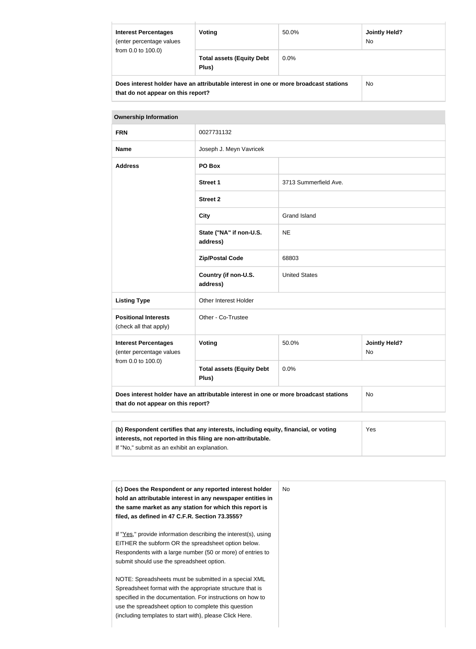| <b>Interest Percentages</b><br>(enter percentage values                                                                    | Voting                                    | <b>Jointly Held?</b><br>50.0%<br><b>No</b> |           |  |
|----------------------------------------------------------------------------------------------------------------------------|-------------------------------------------|--------------------------------------------|-----------|--|
| from 0.0 to 100.0)                                                                                                         | <b>Total assets (Equity Debt</b><br>Plus) | $0.0\%$                                    |           |  |
| Does interest holder have an attributable interest in one or more broadcast stations<br>that do not appear on this report? |                                           |                                            | <b>No</b> |  |

| <b>Ownership Information</b> |
|------------------------------|

| <b>UWHERSHIP INTO HIGHON</b>                                                                                                     |                                                                                            |                       |                            |  |
|----------------------------------------------------------------------------------------------------------------------------------|--------------------------------------------------------------------------------------------|-----------------------|----------------------------|--|
| <b>FRN</b>                                                                                                                       | 0027731132                                                                                 |                       |                            |  |
| <b>Name</b>                                                                                                                      | Joseph J. Meyn Vavricek                                                                    |                       |                            |  |
| <b>Address</b>                                                                                                                   | PO Box                                                                                     |                       |                            |  |
|                                                                                                                                  | <b>Street 1</b>                                                                            | 3713 Summerfield Ave. |                            |  |
|                                                                                                                                  | <b>Street 2</b>                                                                            |                       |                            |  |
|                                                                                                                                  | <b>City</b>                                                                                | <b>Grand Island</b>   |                            |  |
|                                                                                                                                  | State ("NA" if non-U.S.<br>address)                                                        | <b>NE</b>             |                            |  |
|                                                                                                                                  | <b>Zip/Postal Code</b>                                                                     | 68803                 |                            |  |
|                                                                                                                                  | Country (if non-U.S.<br>address)                                                           | <b>United States</b>  |                            |  |
| <b>Listing Type</b>                                                                                                              | Other Interest Holder                                                                      |                       |                            |  |
| <b>Positional Interests</b><br>(check all that apply)                                                                            | Other - Co-Trustee                                                                         |                       |                            |  |
| <b>Interest Percentages</b><br>(enter percentage values                                                                          | Voting                                                                                     | 50.0%                 | <b>Jointly Held?</b><br>No |  |
| from 0.0 to 100.0)                                                                                                               | <b>Total assets (Equity Debt</b><br>Plus)                                                  | 0.0%                  |                            |  |
| Does interest holder have an attributable interest in one or more broadcast stations<br>No<br>that do not appear on this report? |                                                                                            |                       |                            |  |
|                                                                                                                                  |                                                                                            |                       |                            |  |
|                                                                                                                                  | (b) Respondent certifies that any interests, including equity, financial, or voting<br>Yes |                       |                            |  |

| (b) Respondent certifies that any interests, including equity, financial, or voting | Yes |
|-------------------------------------------------------------------------------------|-----|
| interests, not reported in this filing are non-attributable.                        |     |
| If "No," submit as an exhibit an explanation.                                       |     |